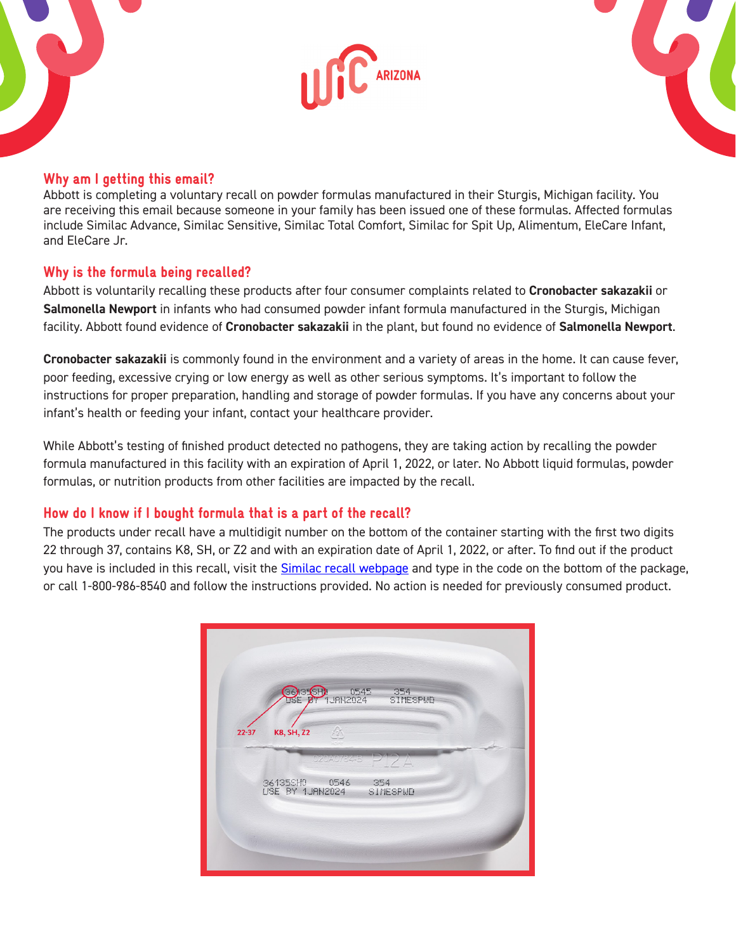



### Why am I getting this email?

Abbott is completing a voluntary recall on powder formulas manufactured in their Sturgis, Michigan facility. You are receiving this email because someone in your family has been issued one of these formulas. Affected formulas include Similac Advance, Similac Sensitive, Similac Total Comfort, Similac for Spit Up, Alimentum, EleCare Infant, and EleCare Jr.

### Why is the formula being recalled?

Abbott is voluntarily recalling these products after four consumer complaints related to **Cronobacter sakazakii** or **Salmonella Newport** in infants who had consumed powder infant formula manufactured in the Sturgis, Michigan facility. Abbott found evidence of **Cronobacter sakazakii** in the plant, but found no evidence of **Salmonella Newport**.

**Cronobacter sakazakii** is commonly found in the environment and a variety of areas in the home. It can cause fever, poor feeding, excessive crying or low energy as well as other serious symptoms. It's important to follow the instructions for proper preparation, handling and storage of powder formulas. If you have any concerns about your infant's health or feeding your infant, contact your healthcare provider.

While Abbott's testing of finished product detected no pathogens, they are taking action by recalling the powder formula manufactured in this facility with an expiration of April 1, 2022, or later. No Abbott liquid formulas, powder formulas, or nutrition products from other facilities are impacted by the recall.

# How do I know if I bought formula that is a part of the recall?

The products under recall have a multidigit number on the bottom of the container starting with the first two digits 22 through 37, contains K8, SH, or Z2 and with an expiration date of April 1, 2022, or after. To find out if the product you have is included in this recall, visit the [Similac recall webpage](https://www.similacrecall.com/us/en/home.html) and type in the code on the bottom of the package, or call 1-800-986-8540 and follow the instructions provided. No action is needed for previously consumed product.